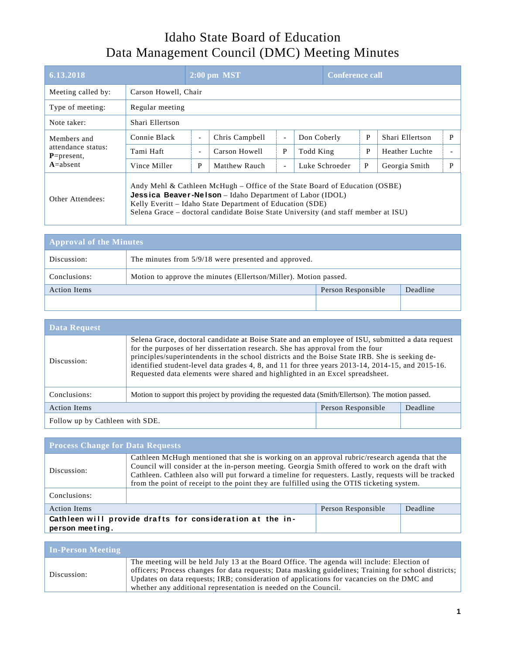## Idaho State Board of Education Data Management Council (DMC) Meeting Minutes

| 6.13.2018                                                            |                                                                                                                                                                                                                                                                                                   | $2:00$ pm MST            |                |                          | <b>Conference call</b> |   |                 |   |
|----------------------------------------------------------------------|---------------------------------------------------------------------------------------------------------------------------------------------------------------------------------------------------------------------------------------------------------------------------------------------------|--------------------------|----------------|--------------------------|------------------------|---|-----------------|---|
| Meeting called by:                                                   |                                                                                                                                                                                                                                                                                                   | Carson Howell, Chair     |                |                          |                        |   |                 |   |
| Type of meeting:                                                     | Regular meeting                                                                                                                                                                                                                                                                                   |                          |                |                          |                        |   |                 |   |
| Note taker:                                                          | Shari Ellertson                                                                                                                                                                                                                                                                                   |                          |                |                          |                        |   |                 |   |
| Members and<br>attendance status:<br>$P = present$ ,<br>$A = absent$ | Connie Black                                                                                                                                                                                                                                                                                      | $\overline{\phantom{0}}$ | Chris Campbell | $\overline{\phantom{a}}$ | Don Coberly            | P | Shari Ellertson | P |
|                                                                      | Tami Haft                                                                                                                                                                                                                                                                                         | $\overline{\phantom{0}}$ | Carson Howell  | P                        | Todd King              | P | Heather Luchte  |   |
|                                                                      | Vince Miller                                                                                                                                                                                                                                                                                      | P                        | Matthew Rauch  | $\overline{a}$           | Luke Schroeder         | P | Georgia Smith   | P |
| Other Attendees:                                                     | Andy Mehl & Cathleen McHugh – Office of the State Board of Education (OSBE)<br><b>Jessica Beaver-Nelson</b> – Idaho Department of Labor (IDOL)<br>Kelly Everitt – Idaho State Department of Education (SDE)<br>Selena Grace – doctoral candidate Boise State University (and staff member at ISU) |                          |                |                          |                        |   |                 |   |

| <b>Approval of the Minutes</b> |                                                                  |                    |          |  |
|--------------------------------|------------------------------------------------------------------|--------------------|----------|--|
| Discussion:                    | The minutes from 5/9/18 were presented and approved.             |                    |          |  |
| Conclusions:                   | Motion to approve the minutes (Ellertson/Miller). Motion passed. |                    |          |  |
| <b>Action Items</b>            |                                                                  | Person Responsible | Deadline |  |
|                                |                                                                  |                    |          |  |

| <b>Data Request</b>             |                                                                                                                                                                                                                                                                                                                                                                                                                                                                         |                    |          |  |
|---------------------------------|-------------------------------------------------------------------------------------------------------------------------------------------------------------------------------------------------------------------------------------------------------------------------------------------------------------------------------------------------------------------------------------------------------------------------------------------------------------------------|--------------------|----------|--|
| Discussion:                     | Selena Grace, doctoral candidate at Boise State and an employee of ISU, submitted a data request<br>for the purposes of her dissertation research. She has approval from the four<br>principles/superintendents in the school districts and the Boise State IRB. She is seeking de-<br>identified student-level data grades 4, 8, and 11 for three years 2013-14, 2014-15, and 2015-16.<br>Requested data elements were shared and highlighted in an Excel spreadsheet. |                    |          |  |
| Conclusions:                    | Motion to support this project by providing the requested data (Smith/Ellertson). The motion passed.                                                                                                                                                                                                                                                                                                                                                                    |                    |          |  |
| <b>Action Items</b>             |                                                                                                                                                                                                                                                                                                                                                                                                                                                                         | Person Responsible | Deadline |  |
| Follow up by Cathleen with SDE. |                                                                                                                                                                                                                                                                                                                                                                                                                                                                         |                    |          |  |

| <b>Process Change for Data Requests</b>                                      |                                                                                                                                                                                                                                                                                                                                                                                                       |                    |          |  |  |
|------------------------------------------------------------------------------|-------------------------------------------------------------------------------------------------------------------------------------------------------------------------------------------------------------------------------------------------------------------------------------------------------------------------------------------------------------------------------------------------------|--------------------|----------|--|--|
| Discussion:                                                                  | Cathleen McHugh mentioned that she is working on an approval rubric/research agenda that the<br>Council will consider at the in-person meeting. Georgia Smith offered to work on the draft with<br>Cathleen. Cathleen also will put forward a timeline for requesters. Lastly, requests will be tracked<br>from the point of receipt to the point they are fulfilled using the OTIS ticketing system. |                    |          |  |  |
| Conclusions:                                                                 |                                                                                                                                                                                                                                                                                                                                                                                                       |                    |          |  |  |
| <b>Action Items</b>                                                          |                                                                                                                                                                                                                                                                                                                                                                                                       | Person Responsible | Deadline |  |  |
| Cathleen will provide drafts for consideration at the in-<br>person meeting. |                                                                                                                                                                                                                                                                                                                                                                                                       |                    |          |  |  |

| <b>In-Person Meeting</b> |                                                                                                                                                                                                                                                                                                                                                                    |
|--------------------------|--------------------------------------------------------------------------------------------------------------------------------------------------------------------------------------------------------------------------------------------------------------------------------------------------------------------------------------------------------------------|
| Discussion:              | The meeting will be held July 13 at the Board Office. The agenda will include: Election of<br>officers; Process changes for data requests; Data masking guidelines; Training for school districts;<br>Updates on data requests; IRB; consideration of applications for vacancies on the DMC and<br>whether any additional representation is needed on the Council. |